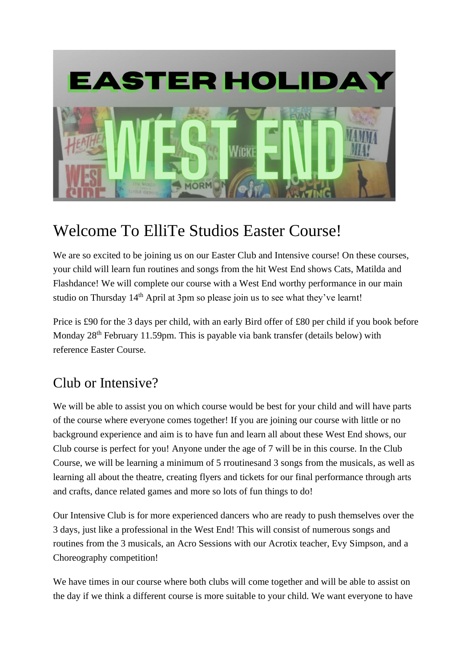

## Welcome To ElliTe Studios Easter Course!

We are so excited to be joining us on our Easter Club and Intensive course! On these courses, your child will learn fun routines and songs from the hit West End shows Cats, Matilda and Flashdance! We will complete our course with a West End worthy performance in our main studio on Thursday 14<sup>th</sup> April at 3pm so please join us to see what they've learnt!

Price is £90 for the 3 days per child, with an early Bird offer of £80 per child if you book before Monday 28<sup>th</sup> February 11.59pm. This is payable via bank transfer (details below) with reference Easter Course.

## Club or Intensive?

We will be able to assist you on which course would be best for your child and will have parts of the course where everyone comes together! If you are joining our course with little or no background experience and aim is to have fun and learn all about these West End shows, our Club course is perfect for you! Anyone under the age of 7 will be in this course. In the Club Course, we will be learning a minimum of 5 rroutinesand 3 songs from the musicals, as well as learning all about the theatre, creating flyers and tickets for our final performance through arts and crafts, dance related games and more so lots of fun things to do!

Our Intensive Club is for more experienced dancers who are ready to push themselves over the 3 days, just like a professional in the West End! This will consist of numerous songs and routines from the 3 musicals, an Acro Sessions with our Acrotix teacher, Evy Simpson, and a Choreography competition!

We have times in our course where both clubs will come together and will be able to assist on the day if we think a different course is more suitable to your child. We want everyone to have